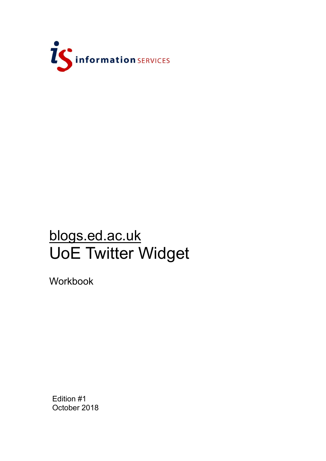

# blogs.ed.ac.uk UoE Twitter Widget

Workbook

Edition #1 October 2018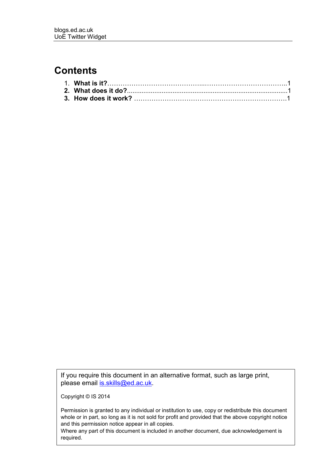#### **Contents**

If you require this document in an alternative format, such as large print, please email [is.skills@ed.ac.uk.](mailto:is.skills@ed.ac.uk)

Copyright © IS 2014

Permission is granted to any individual or institution to use, copy or redistribute this document whole or in part, so long as it is not sold for profit and provided that the above copyright notice and this permission notice appear in all copies.

Where any part of this document is included in another document, due acknowledgement is required.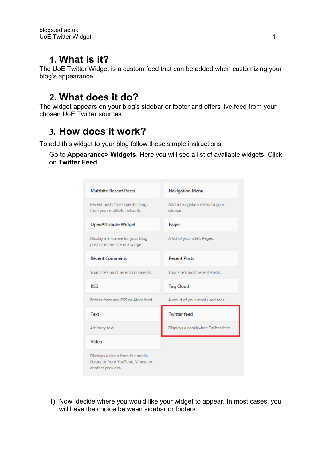#### **1. What is it?**

The UoE Twitter Widget is a custom feed that can be added when customizing your blog's appearance.

### **2. What does it do?**

The widget appears on your blog's sidebar or footer and offers live feed from your chosen UoE Twitter sources.

## **3. How does it work?**

To add this widget to your blog follow these simple instructions.

Go to **Appearance> Widgets**. Here you will see a list of available widgets. Click on **Twitter Feed.** 

| <b>Multisite Recent Posts</b>                                        | <b>Navigation Menu</b>                    |
|----------------------------------------------------------------------|-------------------------------------------|
| Recent posts from specific blogs<br>from your multisite network.     | Add a navigation menu to your<br>sidebar. |
| <b>OpenAttribute Widget</b>                                          | Pages                                     |
| Display a a license for your blog<br>post or entire site in a widget | A list of your site's Pages.              |
| <b>Recent Comments</b>                                               | <b>Recent Posts</b>                       |
| Your site's most recent comments.                                    | Your site's most recent Posts.            |
|                                                                      |                                           |
| <b>RSS</b>                                                           | <b>Tag Cloud</b>                          |
| Entries from any RSS or Atom feed.                                   | A cloud of your most used tags.           |
| Text                                                                 | <b>Twitter feed</b>                       |
| Arbitrary text.                                                      | Displays a cookie-free Twitter feed.      |
| Video                                                                |                                           |

1) Now, decide where you would like your widget to appear. In most cases, you will have the choice between sidebar or footers.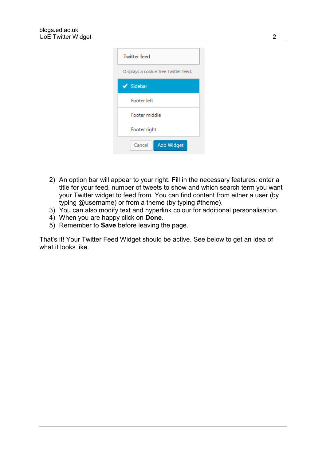| <b>Twitter feed</b>                  |  |  |
|--------------------------------------|--|--|
| Displays a cookie-free Twitter feed. |  |  |
| $\checkmark$ Sidebar                 |  |  |
| Footer left                          |  |  |
| Footer middle                        |  |  |
| Footer right                         |  |  |
| Cancel<br><b>Add Widget</b>          |  |  |

- 2) An option bar will appear to your right. Fill in the necessary features: enter a title for your feed, number of tweets to show and which search term you want your Twitter widget to feed from. You can find content from either a user (by typing @username) or from a theme (by typing #theme).
- 3) You can also modify text and hyperlink colour for additional personalisation.
- 4) When you are happy click on **Done**.
- 5) Remember to **Save** before leaving the page.

That's it! Your Twitter Feed Widget should be active. See below to get an idea of what it looks like.